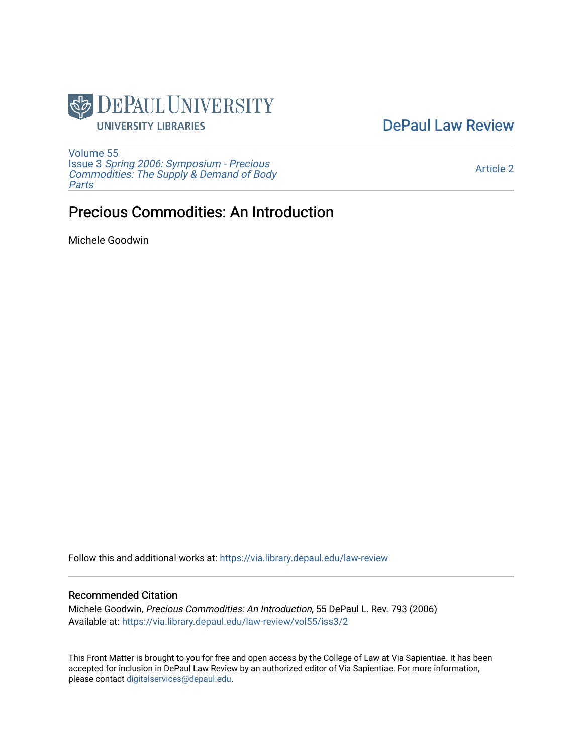

## [DePaul Law Review](https://via.library.depaul.edu/law-review)

[Volume 55](https://via.library.depaul.edu/law-review/vol55) Issue 3 [Spring 2006: Symposium - Precious](https://via.library.depaul.edu/law-review/vol55/iss3) [Commodities: The Supply & Demand of Body](https://via.library.depaul.edu/law-review/vol55/iss3) [Parts](https://via.library.depaul.edu/law-review/vol55/iss3)

[Article 2](https://via.library.depaul.edu/law-review/vol55/iss3/2) 

# Precious Commodities: An Introduction

Michele Goodwin

Follow this and additional works at: [https://via.library.depaul.edu/law-review](https://via.library.depaul.edu/law-review?utm_source=via.library.depaul.edu%2Flaw-review%2Fvol55%2Fiss3%2F2&utm_medium=PDF&utm_campaign=PDFCoverPages) 

## Recommended Citation

Michele Goodwin, Precious Commodities: An Introduction, 55 DePaul L. Rev. 793 (2006) Available at: [https://via.library.depaul.edu/law-review/vol55/iss3/2](https://via.library.depaul.edu/law-review/vol55/iss3/2?utm_source=via.library.depaul.edu%2Flaw-review%2Fvol55%2Fiss3%2F2&utm_medium=PDF&utm_campaign=PDFCoverPages) 

This Front Matter is brought to you for free and open access by the College of Law at Via Sapientiae. It has been accepted for inclusion in DePaul Law Review by an authorized editor of Via Sapientiae. For more information, please contact [digitalservices@depaul.edu.](mailto:digitalservices@depaul.edu)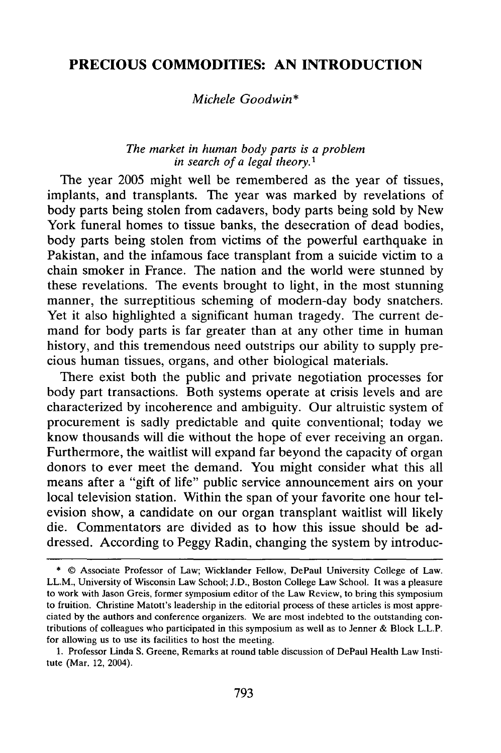## **PRECIOUS COMMODITIES: AN INTRODUCTION**

### *Michele Goodwin\**

### *The market in human body parts is a problem in search of a legal theory.1*

The year **2005** might well be remembered as the year of tissues, implants, and transplants. The year was marked **by** revelations of body parts being stolen from cadavers, body parts being sold **by** New York funeral homes to tissue banks, the desecration of dead bodies, body parts being stolen from victims of the powerful earthquake in Pakistan, and the infamous face transplant from a suicide victim to a chain smoker in France. The nation and the world were stunned **by** these revelations. The events brought to light, in the most stunning manner, the surreptitious scheming of modern-day body snatchers. Yet it also highlighted a significant human tragedy. The current demand for body parts is far greater than at any other time in human history, and this tremendous need outstrips our ability to supply precious human tissues, organs, and other biological materials.

There exist both the public and private negotiation processes for body part transactions. Both systems operate at crisis levels and are characterized **by** incoherence and ambiguity. Our altruistic system of procurement is sadly predictable and quite conventional; today we know thousands will die without the hope of ever receiving an organ. Furthermore, the waitlist will expand far beyond the capacity of organ donors to ever meet the demand. You might consider what this all means after a "gift of life" public service announcement airs on your local television station. Within the span of your favorite one hour television show, a candidate on our organ transplant waitlist will likely die. Commentators are divided as to how this issue should be addressed. According to Peggy Radin, changing the system **by** introduc-

<sup>\* ©</sup> Associate Professor of Law; Wicklander Fellow, DePaul University College of Law. LL.M., University of Wisconsin Law School; J.D., Boston College Law School. It was a pleasure to work with Jason Greis, former symposium editor of the Law Review, to bring this symposium to fruition. Christine Matott's leadership in the editorial process of these articles is most appreciated **by** the authors and conference organizers. We are most indebted to the outstanding contributions of colleagues who participated in this symposium as well as to Jenner & Block L.L.P. for allowing us to use its facilities to host the meeting.

<sup>1.</sup> Professor Linda **S.** Greene, Remarks at round table discussion of DePaul Health Law Institute (Mar. 12, 2004).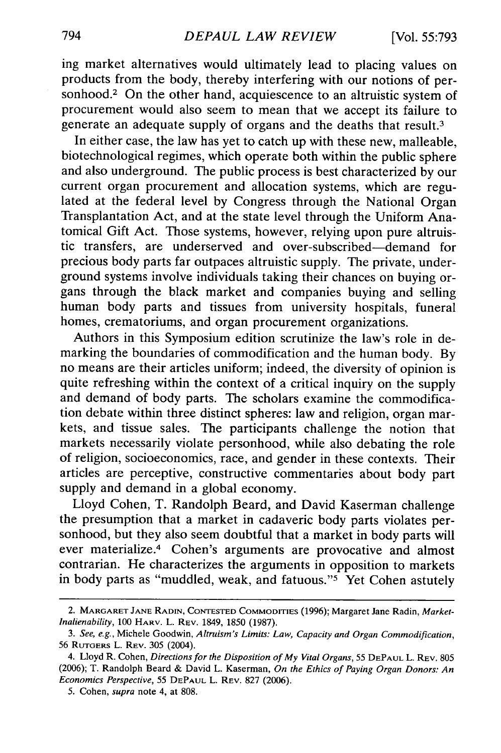ing market alternatives would ultimately lead to placing values on products from the body, thereby interfering with our notions of personhood.<sup>2</sup> On the other hand, acquiescence to an altruistic system of procurement would also seem to mean that we accept its failure to generate an adequate supply of organs and the deaths that result.<sup>3</sup>

In either case, the law has yet to catch up with these new, malleable, biotechnological regimes, which operate both within the public sphere and also underground. The public process is best characterized by our current organ procurement and allocation systems, which are regulated at the federal level by Congress through the National Organ Transplantation Act, and at the state level through the Uniform Anatomical Gift Act. Those systems, however, relying upon pure altruistic transfers, are underserved and over-subscribed-demand for precious body parts far outpaces altruistic supply. The private, underground systems involve individuals taking their chances on buying organs through the black market and companies buying and selling human body parts and tissues from university hospitals, funeral homes, crematoriums, and organ procurement organizations.

Authors in this Symposium edition scrutinize the law's role in demarking the boundaries of commodification and the human body. By no means are their articles uniform; indeed, the diversity of opinion is quite refreshing within the context of a critical inquiry on the supply and demand of body parts. The scholars examine the commodification debate within three distinct spheres: law and religion, organ markets, and tissue sales. The participants challenge the notion that markets necessarily violate personhood, while also debating the role of religion, socioeconomics, race, and gender in these contexts. Their articles are perceptive, constructive commentaries about body part supply and demand in a global economy.

Lloyd Cohen, T. Randolph Beard, and David Kaserman challenge the presumption that a market in cadaveric body parts violates personhood, but they also seem doubtful that a market in body parts will ever materialize.<sup>4</sup> Cohen's arguments are provocative and almost contrarian. He characterizes the arguments in opposition to markets in body parts as "muddled, weak, and fatuous." $5$  Yet Cohen astutely

<sup>2.</sup> MARGARET **JANE** RADIN, **CONTESTED COMMODITIES** (1996); Margaret Jane Radin, *Market-Inalienability,* 100 HARV. L. REV. 1849, 1850 (1987).

*<sup>3.</sup> See, e.g.,* Michele Goodwin, *Altruism's Limits: Law, Capacity and Organ Commodification,* 56 RUTGERS L. REV. 305 (2004).

<sup>4.</sup> Lloyd R. Cohen, *Directions for the Disposition of My Vital Organs,* 55 **DEPAUL** L. REV. 805 (2006); T. Randolph Beard & David L. Kaserman, *On the Ethics of Paying Organ Donors: An Economics Perspective,* 55 **DEPAUL** L. REV. 827 (2006).

<sup>5.</sup> Cohen, *supra* note 4, at 808.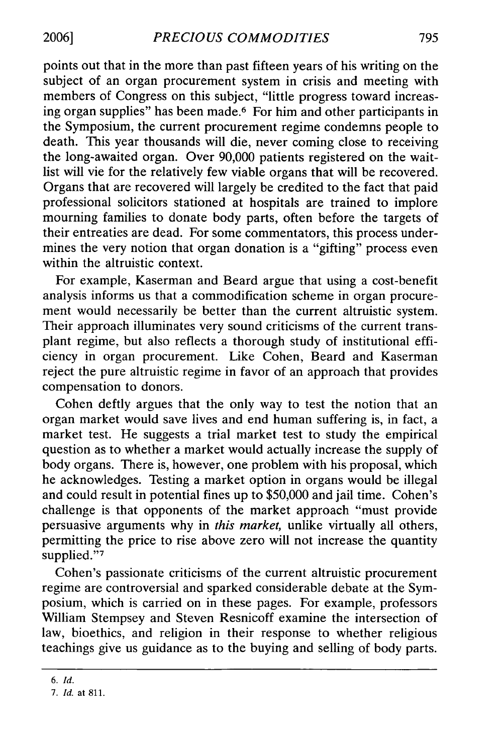points out that in the more than past fifteen years of his writing on the subject of an organ procurement system in crisis and meeting with members of Congress on this subject, "little progress toward increasing organ supplies" has been made. 6 For him and other participants in the Symposium, the current procurement regime condemns people to death. This year thousands will die, never coming close to receiving the long-awaited organ. Over 90,000 patients registered on the waitlist will vie for the relatively few viable organs that will be recovered. Organs that are recovered will largely be credited to the fact that paid professional solicitors stationed at hospitals are trained to implore mourning families to donate body parts, often before the targets of their entreaties are dead. For some commentators, this process undermines the very notion that organ donation is a "gifting" process even within the altruistic context.

For example, Kaserman and Beard argue that using a cost-benefit analysis informs us that a commodification scheme in organ procurement would necessarily be better than the current altruistic system. Their approach illuminates very sound criticisms of the current transplant regime, but also reflects a thorough study of institutional efficiency in organ procurement. Like Cohen, Beard and Kaserman reject the pure altruistic regime in favor of an approach that provides compensation to donors.

Cohen deftly argues that the only way to test the notion that an organ market would save lives and end human suffering is, in fact, a market test. He suggests a trial market test to study the empirical question as to whether a market would actually increase the supply of body organs. There is, however, one problem with his proposal, which he acknowledges. Testing a market option in organs would be illegal and could result in potential fines up to \$50,000 and jail time. Cohen's challenge is that opponents of the market approach "must provide persuasive arguments why in *this market,* unlike virtually all others, permitting the price to rise above zero will not increase the quantity supplied."7

Cohen's passionate criticisms of the current altruistic procurement regime are controversial and sparked considerable debate at the Symposium, which is carried on in these pages. For example, professors William Stempsey and Steven Resnicoff examine the intersection of law, bioethics, and religion in their response to whether religious teachings give us guidance as to the buying and selling of body parts.

*<sup>6.</sup> Id.*

*<sup>7.</sup> Id.* at 811.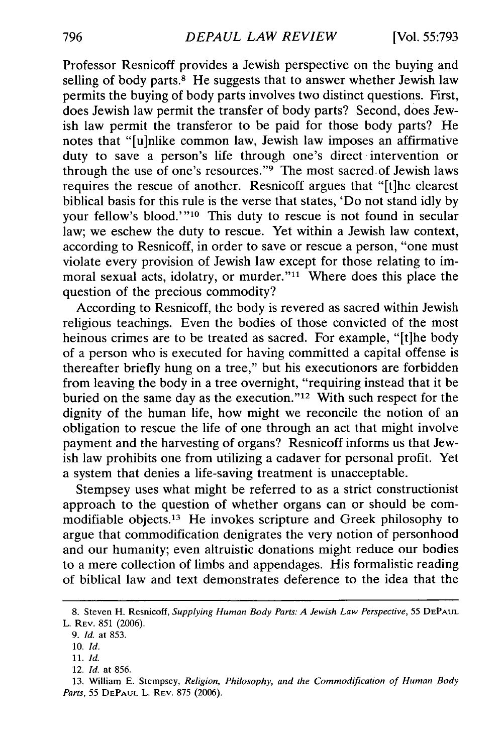Professor Resnicoff provides a Jewish perspective on the buying and selling of body parts.<sup>8</sup> He suggests that to answer whether Jewish law permits the buying of body parts involves two distinct questions. First, does Jewish law permit the transfer of body parts? Second, does Jewish law permit the transferor to be paid for those body parts? He notes that "[u]nlike common law, Jewish law imposes an affirmative duty to save a person's life through one's direct intervention or through the use of one's resources."<sup>9</sup> The most sacred of Jewish laws requires the rescue of another. Resnicoff argues that "[t]he clearest biblical basis for this rule is the verse that states, 'Do not stand idly by your fellow's blood.'"<sup>10</sup> This duty to rescue is not found in secular law; we eschew the duty to rescue. Yet within a Jewish law context, according to Resnicoff, in order to save or rescue a person, "one must violate every provision of Jewish law except for those relating to immoral sexual acts, idolatry, or murder."<sup>11</sup> Where does this place the question of the precious commodity?

According to Resnicoff, the body is revered as sacred within Jewish religious teachings. Even the bodies of those convicted of the most heinous crimes are to be treated as sacred. For example, "[t]he body of a person who is executed for having committed a capital offense is thereafter briefly hung on a tree," but his executionors are forbidden from leaving the body in a tree overnight, "requiring instead that it be buried on the same day as the execution."<sup>12</sup> With such respect for the dignity of the human life, how might we reconcile the notion of an obligation to rescue the life of one through an act that might involve payment and the harvesting of organs? Resnicoff informs us that Jewish law prohibits one from utilizing a cadaver for personal profit. Yet a system that denies a life-saving treatment is unacceptable.

Stempsey uses what might be referred to as a strict constructionist approach to the question of whether organs can or should be commodifiable objects.<sup>13</sup> He invokes scripture and Greek philosophy to argue that commodification denigrates the very notion of personhood and our humanity; even altruistic donations might reduce our bodies to a mere collection of limbs and appendages. His formalistic reading of biblical law and text demonstrates deference to the idea that the

<sup>8.</sup> Steven H. Resnicoff, *Supplying Human Body Parts: A Jewish Law Perspective,* 55 **DEPAUL** L. REV. 851 (2006).

<sup>9.</sup> *Id.* at 853.

<sup>10.</sup> *Id.*

<sup>11.</sup> *Id.*

<sup>12.</sup> *Id.* at 856.

<sup>13.</sup> William E. Stempsey, *Religion, Philosophy, and the Commodification of Human Body Parts,* 55 **DEPAUL** L. REV. 875 (2006).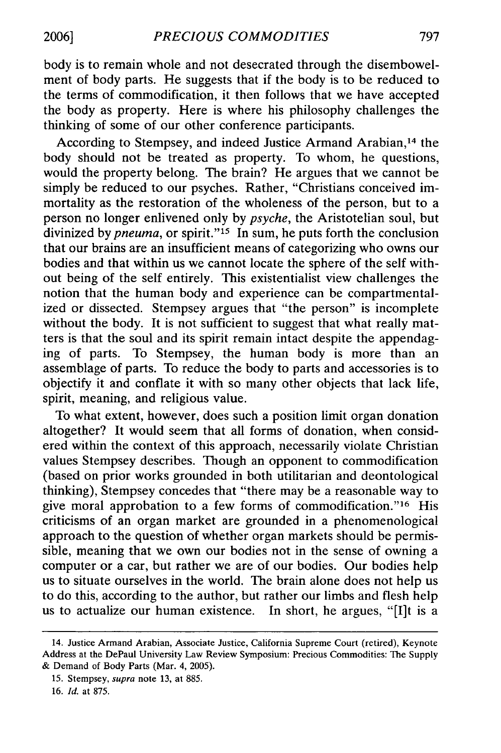body is to remain whole and not desecrated through the disembowelment of body parts. He suggests that if the body is to be reduced to the terms of commodification, it then follows that we have accepted the body as property. Here is where his philosophy challenges the thinking of some of our other conference participants.

According to Stempsey, and indeed Justice Armand Arabian, 14 the body should not be treated as property. To whom, he questions, would the property belong. The brain? He argues that we cannot be simply be reduced to our psyches. Rather, "Christians conceived immortality as the restoration of the wholeness of the person, but to a person no longer enlivened only by *psyche,* the Aristotelian soul, but divinized by *pneuma*, or spirit."<sup>15</sup> In sum, he puts forth the conclusion that our brains are an insufficient means of categorizing who owns our bodies and that within us we cannot locate the sphere of the self without being of the self entirely. This existentialist view challenges the notion that the human body and experience can be compartmentalized or dissected. Stempsey argues that "the person" is incomplete without the body. It is not sufficient to suggest that what really matters is that the soul and its spirit remain intact despite the appendaging of parts. To Stempsey, the human body is more than an assemblage of parts. To reduce the body to parts and accessories is to objectify it and conflate it with so many other objects that lack life, spirit, meaning, and religious value.

To what extent, however, does such a position limit organ donation altogether? It would seem that all forms of donation, when considered within the context of this approach, necessarily violate Christian values Stempsey describes. Though an opponent to commodification (based on prior works grounded in both utilitarian and deontological thinking), Stempsey concedes that "there may be a reasonable way to give moral approbation to a few forms of commodification."<sup>16</sup> His criticisms of an organ market are grounded in a phenomenological approach to the question of whether organ markets should be permissible, meaning that we own our bodies not in the sense of owning a computer or a car, but rather we are of our bodies. Our bodies help us to situate ourselves in the world. The brain alone does not help us to do this, according to the author, but rather our limbs and flesh help us to actualize our human existence. In short, he argues, "[I]t is a

<sup>14.</sup> Justice Armand Arabian, Associate Justice, California Supreme Court (retired), Keynote Address at the DePaul University Law Review Symposium: Precious Commodities: The Supply & Demand of Body Parts (Mar. 4, 2005).

<sup>15.</sup> Stempsey, *supra* note 13, at 885.

<sup>16.</sup> *Id.* at 875.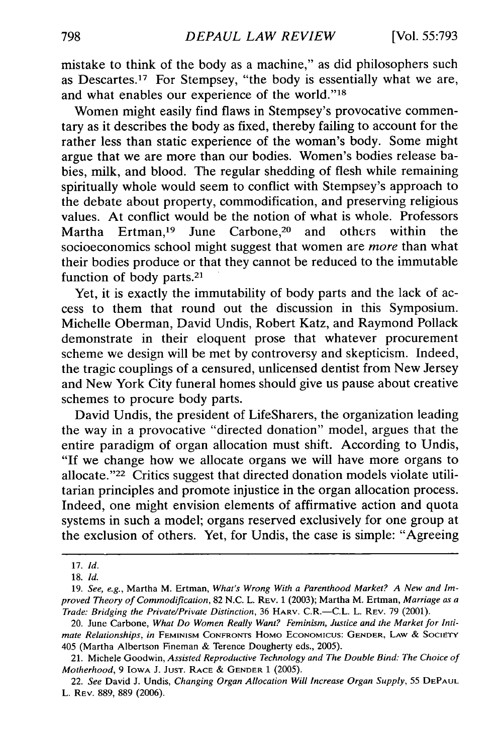mistake to think of the body as a machine," as did philosophers such as Descartes.<sup>17</sup> For Stempsey, "the body is essentially what we are, and what enables our experience of the world."18

Women might easily find flaws in Stempsey's provocative commentary as it describes the body as fixed, thereby failing to account for the rather less than static experience of the woman's body. Some might argue that we are more than our bodies. Women's bodies release babies, milk, and blood. The regular shedding of flesh while remaining spiritually whole would seem to conflict with Stempsey's approach to the debate about property, commodification, and preserving religious values. At conflict would be the notion of what is whole. Professors Martha Ertman,19 June Carbone,20 and othcrs within the socioeconomics school might suggest that women are *more* than what their bodies produce or that they cannot be reduced to the immutable function of body parts.<sup>21</sup>

Yet, it is exactly the immutability of body parts and the lack of access to them that round out the discussion in this Symposium. Michelle Oberman, David Undis, Robert Katz, and Raymond Pollack demonstrate in their eloquent prose that whatever procurement scheme we design will be met by controversy and skepticism. Indeed, the tragic couplings of a censured, unlicensed dentist from New Jersey and New York City funeral homes should give us pause about creative schemes to procure body parts.

David Undis, the president of LifeSharers, the organization leading the way in a provocative "directed donation" model, argues that the entire paradigm of organ allocation must shift. According to Undis, "If we change how we allocate organs we will have more organs to allocate. $"^{22}$  Critics suggest that directed donation models violate utilitarian principles and promote injustice in the organ allocation process. Indeed, one might envision elements of affirmative action and quota systems in such a model; organs reserved exclusively for one group at the exclusion of others. Yet, for Undis, the case is simple: "Agreeing

<sup>17.</sup> *Id.*

<sup>18.</sup> *Id.*

<sup>19.</sup> *See, e.g.,* Martha M. Ertman, *What's Wrong With a Parenthood Market? A New and Improved Theory of Commodification,* 82 N.C. L. REV. 1 (2003); Martha M. Ertman, *Marriage as a Trade: Bridging the Private/Private Distinction,* 36 HARV. C.R.-C.L. L. REV. 79 (2001).

<sup>20.</sup> June Carbone, *What Do Women Really Want? Feminism, Justice and the Market for Intimate Relationships, in* **FEMINISM** CONFRONTS HOMO ECONOMICUS: **GENDER,** LAW *&* SOCIETY 405 (Martha Albertson Fineman & Terence Dougherty eds., 2005).

<sup>21.</sup> Michele Goodwin, *Assisted Reproductive Technology and The Double Bind: The Choice of Motherhood,* 9 IOWA J. **JUST.** RACE & **GENDER** 1 (2005).

<sup>22.</sup> *See* David J. Undis, *Changing Organ Allocation Will Increase Organ Supply,* 55 **DEPAUL** L. REV. 889, 889 (2006).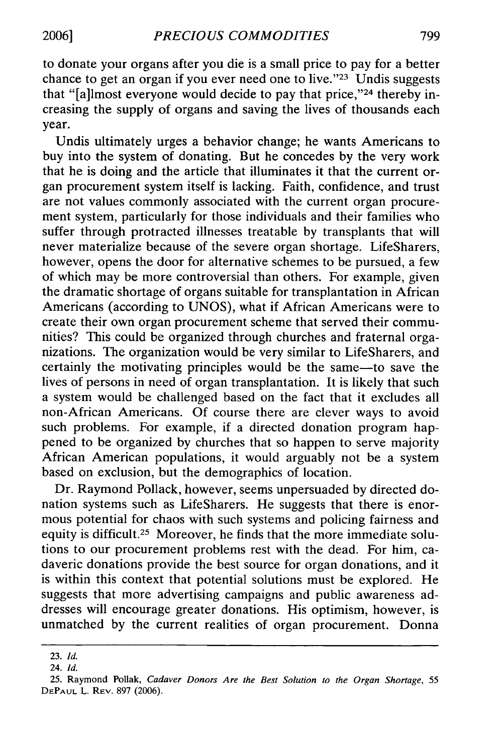to donate your organs after you die is a small price to pay for a better chance to get an organ if you ever need one to live." $23$  Undis suggests that "[a]lmost everyone would decide to pay that price,"<sup>24</sup> thereby increasing the supply of organs and saving the lives of thousands each year.

Undis ultimately urges a behavior change; he wants Americans to buy into the system of donating. But he concedes by the very work that he is doing and the article that illuminates it that the current organ procurement system itself is lacking. Faith, confidence, and trust are not values commonly associated with the current organ procurement system, particularly for those individuals and their families who suffer through protracted illnesses treatable by transplants that will never materialize because of the severe organ shortage. LifeSharers, however, opens the door for alternative schemes to be pursued, a few of which may be more controversial than others. For example, given the dramatic shortage of organs suitable for transplantation in African Americans (according to UNOS), what if African Americans were to create their own organ procurement scheme that served their communities? This could be organized through churches and fraternal organizations. The organization would be very similar to LifeSharers, and certainly the motivating principles would be the same-to save the lives of persons in need of organ transplantation. It is likely that such a system would be challenged based on the fact that it excludes all non-African Americans. Of course there are clever ways to avoid such problems. For example, if a directed donation program happened to be organized by churches that so happen to serve majority African American populations, it would arguably not be a system based on exclusion, but the demographics of location.

Dr. Raymond Pollack, however, seems unpersuaded by directed donation systems such as LifeSharers. He suggests that there is enormous potential for chaos with such systems and policing fairness and equity is difficult.<sup>25</sup> Moreover, he finds that the more immediate solutions to our procurement problems rest with the dead. For him, cadaveric donations provide the best source for organ donations, and it is within this context that potential solutions must be explored. He suggests that more advertising campaigns and public awareness addresses will encourage greater donations. His optimism, however, is unmatched by the current realities of organ procurement. Donna

<sup>23.</sup> *Id.*

<sup>24.</sup> *Id.*

<sup>25.</sup> Raymond Pollak, *Cadaver Donors Are the Best Solution to the Organ Shortage,* 55 **DEPAUL** L. REV. 897 (2006).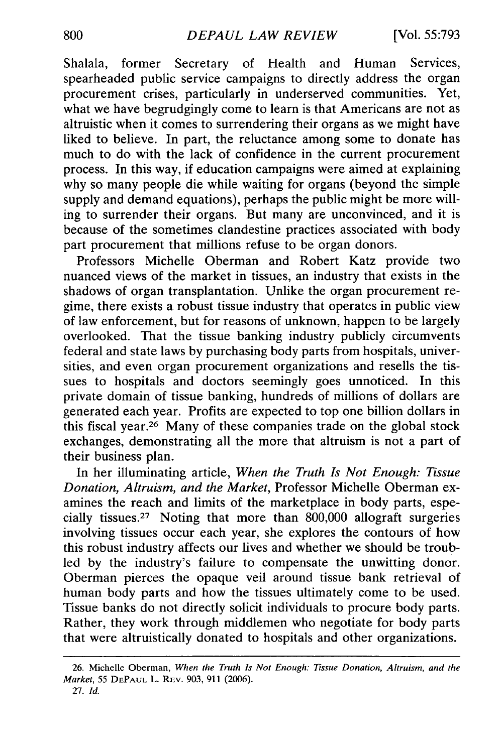Shalala, former Secretary of Health and Human Services, spearheaded public service campaigns to directly address the organ procurement crises, particularly in underserved communities. Yet, what we have begrudgingly come to learn is that Americans are not as altruistic when it comes to surrendering their organs as we might have liked to believe. In part, the reluctance among some to donate has much to do with the lack of confidence in the current procurement process. In this way, if education campaigns were aimed at explaining why so many people die while waiting for organs (beyond the simple supply and demand equations), perhaps the public might be more willing to surrender their organs. But many are unconvinced, and it is because of the sometimes clandestine practices associated with body part procurement that millions refuse to be organ donors.

Professors Michelle Oberman and Robert Katz provide two nuanced views of the market in tissues, an industry that exists in the shadows of organ transplantation. Unlike the organ procurement regime, there exists a robust tissue industry that operates in public view of law enforcement, but for reasons of unknown, happen to be largely overlooked. That the tissue banking industry publicly circumvents federal and state laws by purchasing body parts from hospitals, universities, and even organ procurement organizations and resells the tissues to hospitals and doctors seemingly goes unnoticed. In this private domain of tissue banking, hundreds of millions of dollars are generated each year. Profits are expected to top one billion dollars in this fiscal year.<sup>26</sup> Many of these companies trade on the global stock exchanges, demonstrating all the more that altruism is not a part of their business plan.

In her illuminating article, *When the Truth Is Not Enough: Tissue Donation, Altruism, and the Market,* Professor Michelle Oberman examines the reach and limits of the marketplace in body parts, especially tissues. 27 Noting that more than 800,000 allograft surgeries involving tissues occur each year, she explores the contours of how this robust industry affects our lives and whether we should be troubled by the industry's failure to compensate the unwitting donor. Oberman pierces the opaque veil around tissue bank retrieval of human body parts and how the tissues ultimately come to be used. Tissue banks do not directly solicit individuals to procure body parts. Rather, they work through middlemen who negotiate for body parts that were altruistically donated to hospitals and other organizations.

**<sup>26.</sup>** Michelle Oberman, *When the Truth Is Not Enough: Tissue Donation, Altruism, and the Market, 55* **DEPAUL** L. REv. 903, 911 (2006).

**<sup>27.</sup>** *Id.*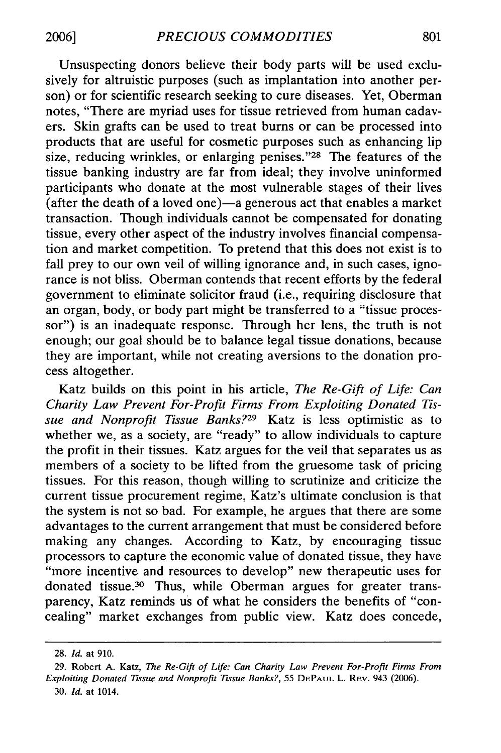Unsuspecting donors believe their body parts will be used exclusively for altruistic purposes (such as implantation into another person) or for scientific research seeking to cure diseases. Yet, Oberman notes, "There are myriad uses for tissue retrieved from human cadavers. Skin grafts can be used to treat burns or can be processed into products that are useful for cosmetic purposes such as enhancing lip size, reducing wrinkles, or enlarging penises." $28$  The features of the tissue banking industry are far from ideal; they involve uninformed participants who donate at the most vulnerable stages of their lives (after the death of a loved one) $-a$  generous act that enables a market transaction. Though individuals cannot be compensated for donating tissue, every other aspect of the industry involves financial compensation and market competition. To pretend that this does not exist is to fall prey to our own veil of willing ignorance and, in such cases, ignorance is not bliss. Oberman contends that recent efforts by the federal government to eliminate solicitor fraud (i.e., requiring disclosure that an organ, body, or body part might be transferred to a "tissue processor") is an inadequate response. Through her lens, the truth is not enough; our goal should be to balance legal tissue donations, because they are important, while not creating aversions to the donation process altogether.

Katz builds on this point in his article, *The Re-Gift of Life: Can Charity Law Prevent For-Profit Firms From Exploiting Donated Tissue and Nonprofit Tissue Banks?29* Katz is less optimistic as to whether we, as a society, are "ready" to allow individuals to capture the profit in their tissues. Katz argues for the veil that separates us as members of a society to be lifted from the gruesome task of pricing tissues. For this reason, though willing to scrutinize and criticize the current tissue procurement regime, Katz's ultimate conclusion is that the system is not so bad. For example, he argues that there are some advantages to the current arrangement that must be considered before making any changes. According to Katz, by encouraging tissue processors to capture the economic value of donated tissue, they have "more incentive and resources to develop" new therapeutic uses for donated tissue.30 Thus, while Oberman argues for greater transparency, Katz reminds us of what he considers the benefits of "concealing" market exchanges from public view. Katz does concede,

<sup>28.</sup> *Id.* at 910.

<sup>29.</sup> Robert A. Katz, *The Re-Gift of Life: Can Charity Law Prevent For-Profit Firms From Exploiting Donated Tissue and Nonprofit Tissue Banks?,* 55 **DEPAUL** L. REV. 943 (2006). 30. *Id.* at 1014.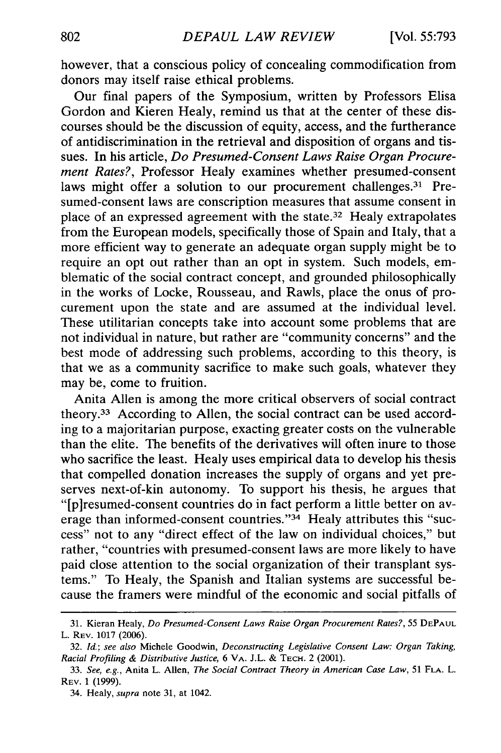however, that a conscious policy of concealing commodification from donors may itself raise ethical problems.

Our final papers of the Symposium, written by Professors Elisa Gordon and Kieren Healy, remind us that at the center of these discourses should be the discussion of equity, access, and the furtherance of antidiscrimination in the retrieval and disposition of organs and tissues. In his article, *Do Presumed-Consent Laws Raise Organ Procurement Rates?,* Professor Healy examines whether presumed-consent laws might offer a solution to our procurement challenges.<sup>31</sup> Presumed-consent laws are conscription measures that assume consent in place of an expressed agreement with the state. 32 Healy extrapolates from the European models, specifically those of Spain and Italy, that a more efficient way to generate an adequate organ supply might be to require an opt out rather than an opt in system. Such models, emblematic of the social contract concept, and grounded philosophically in the works of Locke, Rousseau, and Rawls, place the onus of procurement upon the state and are assumed at the individual level. These utilitarian concepts take into account some problems that are not individual in nature, but rather are "community concerns" and the best mode of addressing such problems, according to this theory, is that we as a community sacrifice to make such goals, whatever they may be, come to fruition.

Anita Allen is among the more critical observers of social contract theory.33 According to Allen, the social contract can be used according to a majoritarian purpose, exacting greater costs on the vulnerable than the elite. The benefits of the derivatives will often inure to those who sacrifice the least. Healy uses empirical data to develop his thesis that compelled donation increases the supply of organs and yet preserves next-of-kin autonomy. To support his thesis, he argues that "[piresumed-consent countries do in fact perform a little better on average than informed-consent countries." $34$  Healy attributes this "success" not to any "direct effect of the law on individual choices," but rather, "countries with presumed-consent laws are more likely to have paid close attention to the social organization of their transplant systems." To Healy, the Spanish and Italian systems are successful because the framers were mindful of the economic and social pitfalls of

<sup>31.</sup> Kieran Healy, *Do Presumed-Consent Laws Raise Organ Procurement Rates?,* 55 **DEPAUL** L. REV. 1017 (2006).

<sup>32.</sup> *Id.; see also* Michele Goodwin, *Deconstructing Legislative Consent Law: Organ Taking, Racial Profiling & Distributive Justice,* 6 VA. J.L. & TECH. 2 (2001).

<sup>33.</sup> *See, e.g.,* Anita L. Allen, *The Social Contract Theory in American Case Law,* 51 **FLA.** L. REV. **1 (1999).**

<sup>34.</sup> Healy, *supra* note 31, at 1042.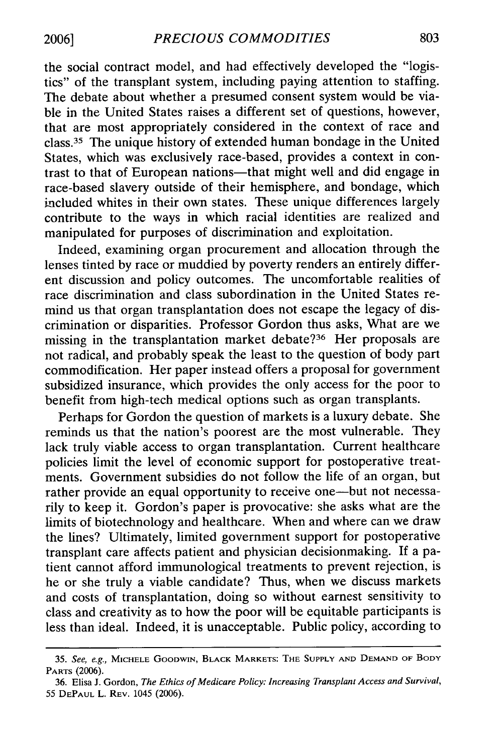the social contract model, and had effectively developed the "logistics" of the transplant system, including paying attention to staffing. The debate about whether a presumed consent system would be viable in the United States raises a different set of questions, however, that are most appropriately considered in the context of race and class. 35 The unique history of extended human bondage in the United States, which was exclusively race-based, provides a context in contrast to that of European nations-that might well and did engage in race-based slavery outside of their hemisphere, and bondage, which included whites in their own states. These unique differences largely contribute to the ways in which racial identities are realized and manipulated for purposes of discrimination and exploitation.

Indeed, examining organ procurement and allocation through the lenses tinted by race or muddied by poverty renders an entirely different discussion and policy outcomes. The uncomfortable realities of race discrimination and class subordination in the United States remind us that organ transplantation does not escape the legacy of discrimination or disparities. Professor Gordon thus asks, What are we missing in the transplantation market debate?<sup>36</sup> Her proposals are not radical, and probably speak the least to the question of body part commodification. Her paper instead offers a proposal for government subsidized insurance, which provides the only access for the poor to benefit from high-tech medical options such as organ transplants.

Perhaps for Gordon the question of markets is a luxury debate. She reminds us that the nation's poorest are the most vulnerable. They lack truly viable access to organ transplantation. Current healthcare policies limit the level of economic support for postoperative treatments. Government subsidies do not follow the life of an organ, but rather provide an equal opportunity to receive one—but not necessarily to keep it. Gordon's paper is provocative: she asks what are the limits of biotechnology and healthcare. When and where can we draw the lines? Ultimately, limited government support for postoperative transplant care affects patient and physician decisionmaking. If a patient cannot afford immunological treatments to prevent rejection, is he or she truly a viable candidate? Thus, when we discuss markets and costs of transplantation, doing so without earnest sensitivity to class and creativity as to how the poor will be equitable participants is less than ideal. Indeed, it is unacceptable. Public policy, according to

**<sup>35.</sup>** *See, e.g.,* **MICHELE** GOODWIN, BLACK MARKETS: **THE SUPPLY AND DEMAND** OF BODY **PARTS** (2006).

<sup>36.</sup> Elisa J. Gordon, *The Ethics of Medicare Policy: Increasing Transplant Access and Survival,* 55 **DEPAUL** L. REV. 1045 (2006).